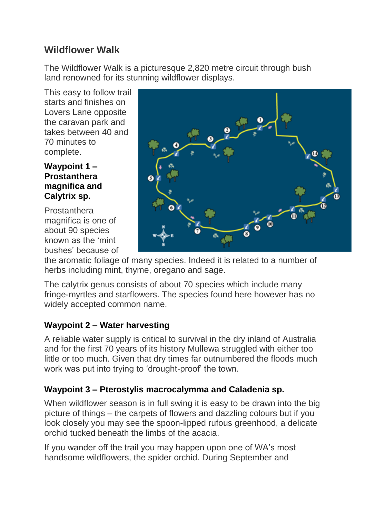# **Wildflower Walk**

The Wildflower Walk is a picturesque 2,820 metre circuit through bush land renowned for its stunning wildflower displays.

This easy to follow trail starts and finishes on Lovers Lane opposite the caravan park and takes between 40 and 70 minutes to complete.

#### **Waypoint 1 – Prostanthera magnifica and Calytrix sp.**

Prostanthera magnifica is one of about 90 species known as the 'mint bushes' because of



the aromatic foliage of many species. Indeed it is related to a number of herbs including mint, thyme, oregano and sage.

The calytrix genus consists of about 70 species which include many fringe-myrtles and starflowers. The species found here however has no widely accepted common name.

## **Waypoint 2 – Water harvesting**

A reliable water supply is critical to survival in the dry inland of Australia and for the first 70 years of its history Mullewa struggled with either too little or too much. Given that dry times far outnumbered the floods much work was put into trying to 'drought-proof' the town.

### **Waypoint 3 – Pterostylis macrocalymma and Caladenia sp.**

When wildflower season is in full swing it is easy to be drawn into the big picture of things – the carpets of flowers and dazzling colours but if you look closely you may see the spoon-lipped rufous greenhood, a delicate orchid tucked beneath the limbs of the acacia.

If you wander off the trail you may happen upon one of WA's most handsome wildflowers, the spider orchid. During September and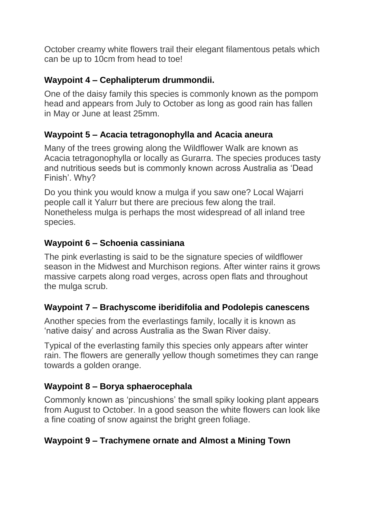October creamy white flowers trail their elegant filamentous petals which can be up to 10cm from head to toe!

#### **Waypoint 4 – Cephalipterum drummondii.**

One of the daisy family this species is commonly known as the pompom head and appears from July to October as long as good rain has fallen in May or June at least 25mm.

### **Waypoint 5 – Acacia tetragonophylla and Acacia aneura**

Many of the trees growing along the Wildflower Walk are known as Acacia tetragonophylla or locally as Gurarra. The species produces tasty and nutritious seeds but is commonly known across Australia as 'Dead Finish'. Why?

Do you think you would know a mulga if you saw one? Local Wajarri people call it Yalurr but there are precious few along the trail. Nonetheless mulga is perhaps the most widespread of all inland tree species.

### **Waypoint 6 – Schoenia cassiniana**

The pink everlasting is said to be the signature species of wildflower season in the Midwest and Murchison regions. After winter rains it grows massive carpets along road verges, across open flats and throughout the mulga scrub.

### **Waypoint 7 – Brachyscome iberidifolia and Podolepis canescens**

Another species from the everlastings family, locally it is known as 'native daisy' and across Australia as the Swan River daisy.

Typical of the everlasting family this species only appears after winter rain. The flowers are generally yellow though sometimes they can range towards a golden orange.

### **Waypoint 8 – Borya sphaerocephala**

Commonly known as 'pincushions' the small spiky looking plant appears from August to October. In a good season the white flowers can look like a fine coating of snow against the bright green foliage.

### **Waypoint 9 – Trachymene ornate and Almost a Mining Town**